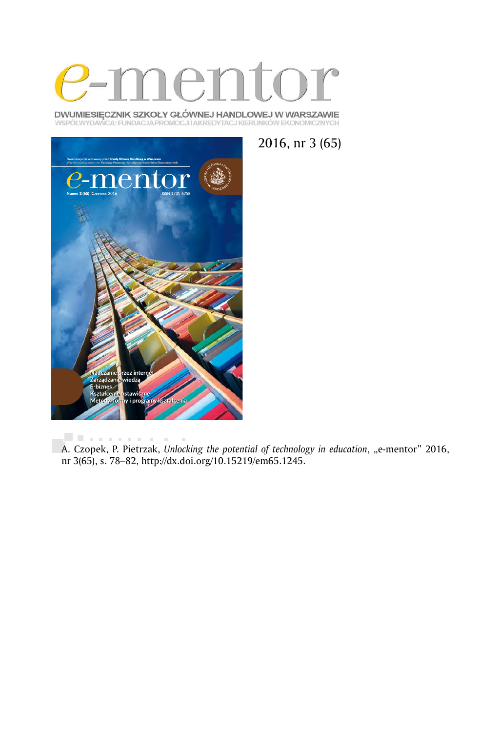

DWUMIESIĘCZNIK SZKOŁY GŁÓWNEJ HANDLOWEJ W WARSZAWIE WSPÓŁWYDAWCA: FUNDACJA PROMOCJI I AKREDYTACJ KIERUNKÓW EKONOMICZNYCH



2016, nr 3 (65)

 $\bar{a}$ A. Czopek, P. Pietrzak, *Unlocking the potential of technology in education*, "e-mentor" 2016, nr 3(65), s. 78–82, http://dx.doi.org/10.15219/em65.1245.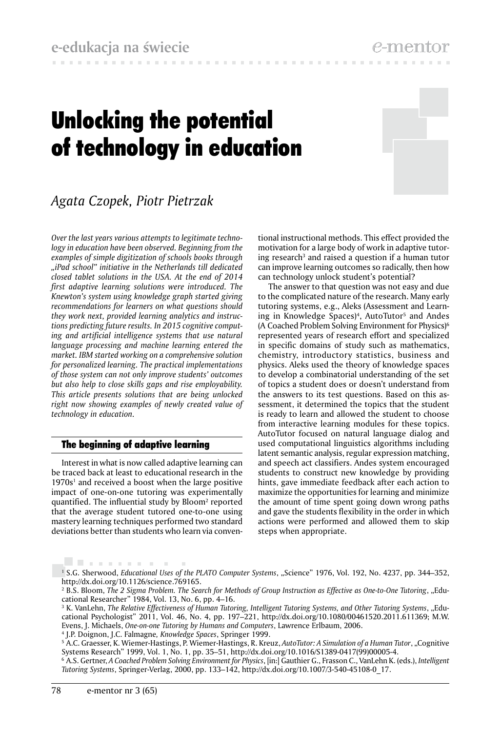# Unlocking the potential of technology in education



e-men

# *Agata Czopek, Piotr Pietrzak*

*Over the last years various attempts to legitimate technology in education have been observed. Beginning from the examples of simple digitization of schools books through "iPad school" initiative in the Netherlands till dedicated closed tablet solutions in the USA. At the end of 2014 first adaptive learning solutions were introduced. The Knewton's system using knowledge graph started giving recommendations for learners on what questions should they work next, provided learning analytics and instructions predicting future results. In 2015 cognitive computing and artificial intelligence systems that use natural language processing and machine learning entered the market. IBM started working on a comprehensive solution for personalized learning. The practical implementations of those system can not only improve students' outcomes but also help to close skills gaps and rise employability. This article presents solutions that are being unlocked right now showing examples of newly created value of technology in education.* 

## The beginning of adaptive learning

Interest in what is now called adaptive learning can be traced back at least to educational research in the  $1970s<sup>1</sup>$  and received a boost when the large positive impact of one-on-one tutoring was experimentally quantified. The influential study by Bloom2 reported that the average student tutored one-to-one using mastery learning techniques performed two standard deviations better than students who learn via conventional instructional methods. This effect provided the motivation for a large body of work in adaptive tutoring research<sup>3</sup> and raised a question if a human tutor can improve learning outcomes so radically, then how can technology unlock student's potential?

The answer to that question was not easy and due to the complicated nature of the research. Many early tutoring systems, e.g., Aleks (Assessment and Learning in Knowledge Spaces)<sup>4</sup>, AutoTutor<sup>5</sup> and Andes (A Coached Problem Solving Environment for Physics)6 represented years of research effort and specialized in specific domains of study such as mathematics, chemistry, introductory statistics, business and physics. Aleks used the theory of knowledge spaces to develop a combinatorial understanding of the set of topics a student does or doesn't understand from the answers to its test questions. Based on this assessment, it determined the topics that the student is ready to learn and allowed the student to choose from interactive learning modules for these topics. AutoTutor focused on natural language dialog and used computational linguistics algorithms including latent semantic analysis, regular expression matching, and speech act classifiers. Andes system encouraged students to construct new knowledge by providing hints, gave immediate feedback after each action to maximize the opportunities for learning and minimize the amount of time spent going down wrong paths and gave the students flexibility in the order in which actions were performed and allowed them to skip steps when appropriate.

. . . . . . . . . . 1 S.G. Sherwood, *Educational Uses of the PLATO Computer Systems*, "Science" 1976, Vol. 192, No. 4237, pp. 344–352, http://dx.doi.org/10.1126/science.769165.

<sup>&</sup>lt;sup>2</sup> B.S. Bloom, *The 2 Sigma Problem. The Search for Methods of Group Instruction as Effective as One-to-One Tutoring, "Edu*cational Researcher" 1984, Vol. 13, No. 6, pp. 4–16.

<sup>3</sup> K. VanLehn, *The Relative Effectiveness of Human Tutoring, Intelligent Tutoring Systems, and Other Tutoring Systems*, "Educational Psychologist" 2011, Vol. 46, No. 4, pp. 197–221, http://dx.doi.org/10.1080/00461520.2011.611369; M.W. Evens, J. Michaels, *One-on-one Tutoring by Humans and Computers*, Lawrence Erlbaum, 2006.

<sup>4</sup> J.P. Doignon, J.C. Falmagne*, Knowledge Spaces*, Springer 1999.

<sup>&</sup>lt;sup>5</sup> A.C. Graesser, K. Wiemer-Hastings, P. Wiemer-Hastings, R. Kreuz, *AutoTutor: A Simulation of a Human Tutor*, "Cognitive Systems Research" 1999, Vol. 1, No. 1, pp. 35–51, http://dx.doi.org/10.1016/S1389-0417(99)00005-4.

<sup>6</sup> A.S. Gertner, *A Coached Problem Solving Environment for Physics*, [in:] Gauthier G., Frasson C., VanLehn K. (eds.), *Intelligent Tutoring Systems*, Springer-Verlag, 2000, pp. 133–142, http://dx.doi.org/10.1007/3-540-45108-0\_17.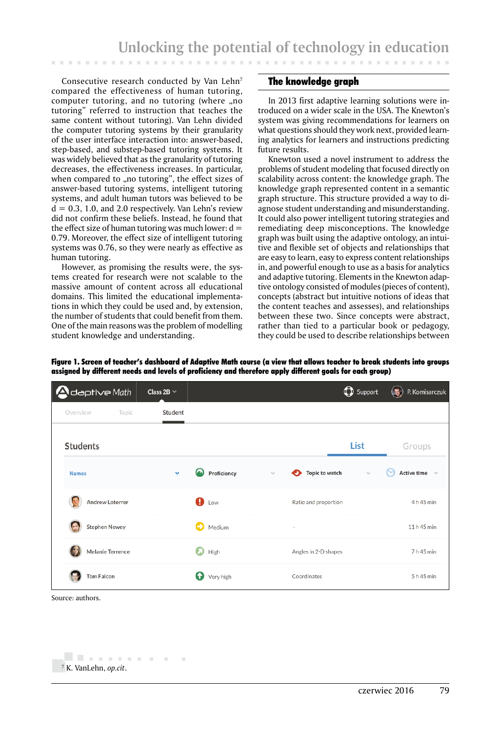Consecutive research conducted by Van Lehn<sup>7</sup> compared the effectiveness of human tutoring, computer tutoring, and no tutoring (where "no tutoring" referred to instruction that teaches the same content without tutoring). Van Lehn divided the computer tutoring systems by their granularity of the user interface interaction into: answer-based, step-based, and substep-based tutoring systems. It was widely believed that as the granularity of tutoring decreases, the effectiveness increases. In particular, when compared to "no tutoring", the effect sizes of answer-based tutoring systems, intelligent tutoring systems, and adult human tutors was believed to be  $d = 0.3, 1.0,$  and 2.0 respectively. Van Lehn's review did not confirm these beliefs. Instead, he found that the effect size of human tutoring was much lower:  $d =$ 0.79. Moreover, the effect size of intelligent tutoring systems was 0.76, so they were nearly as effective as human tutoring.

However, as promising the results were, the systems created for research were not scalable to the massive amount of content across all educational domains. This limited the educational implementations in which they could be used and, by extension, the number of students that could benefit from them. One of the main reasons was the problem of modelling student knowledge and understanding.

#### The knowledge graph

In 2013 first adaptive learning solutions were introduced on a wider scale in the USA. The Knewton's system was giving recommendations for learners on what questions should they work next, provided learning analytics for learners and instructions predicting future results.

. . . . . . . . . .

Knewton used a novel instrument to address the problems of student modeling that focused directly on scalability across content: the knowledge graph. The knowledge graph represented content in a semantic graph structure. This structure provided a way to diagnose student understanding and misunderstanding. It could also power intelligent tutoring strategies and remediating deep misconceptions. The knowledge graph was built using the adaptive ontology, an intuitive and flexible set of objects and relationships that are easy to learn, easy to express content relationships in, and powerful enough to use as a basis for analytics and adaptive tutoring. Elements in the Knewton adaptive ontology consisted of modules (pieces of content), concepts (abstract but intuitive notions of ideas that the content teaches and assesses), and relationships between these two. Since concepts were abstract, rather than tied to a particular book or pedagogy, they could be used to describe relationships between

Figure 1. Screen of teacher's dashboard of Adaptive Math course (a view that allows teacher to break students into groups assigned by different needs and levels of proficiency and therefore apply different goals for each group)

| <b>A</b> daptive Math   | Class 2B $\vee$ |                       |                                      | <b>O</b> Support | $\mathbb{C}$<br>P. Komisarczuk |
|-------------------------|-----------------|-----------------------|--------------------------------------|------------------|--------------------------------|
| Overview<br>Topic       | Student         |                       |                                      |                  |                                |
| <b>Students</b>         |                 |                       |                                      | List             | Groups                         |
| <b>Names</b>            | $\checkmark$    | Proficiency           | <b>Topic to watch</b><br>o<br>$\sim$ | $\sim$           | Active time $\sim$<br>(∾       |
| Andrew Loterrer         |                 | $\mathbf{\Theta}$ Low | Ratio and proportion                 |                  | 4 h 45 min                     |
| <b>Stephen Newey</b>    |                 | О<br>Medium           | $\hspace{0.1mm}-\hspace{0.1mm}$      |                  | 11 h 45 min                    |
| <b>Melanie Terrence</b> |                 | Ð<br>High             | Angles in 2-D shapes                 |                  | 7 h 45 min                     |
| <b>Tom Falcon</b>       |                 | Ω<br>Very high        | Coordinates                          |                  | 5 h 45 min                     |

Source: authors.

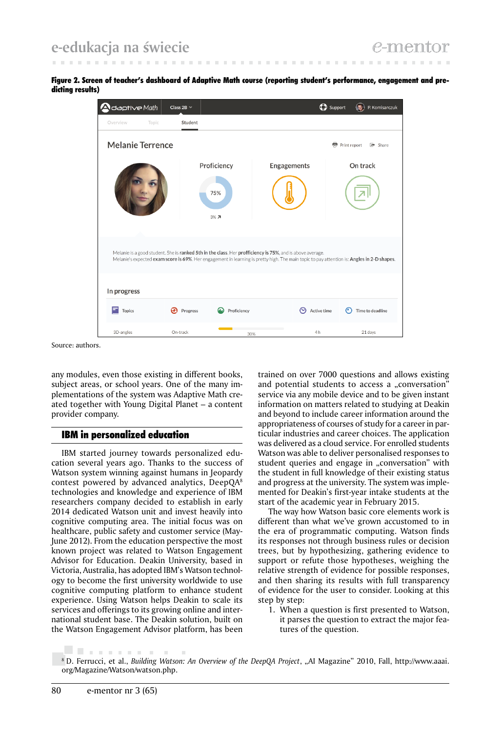Figure 2. Screen of teacher's dashboard of Adaptive Math course (reporting student's performance, engagement and predicting results)



Source: authors.

any modules, even those existing in different books, subject areas, or school years. One of the many implementations of the system was Adaptive Math created together with Young Digital Planet – a content provider company.

## IBM in personalized education

IBM started journey towards personalized education several years ago. Thanks to the success of Watson system winning against humans in Jeopardy contest powered by advanced analytics, DeepQA8 technologies and knowledge and experience of IBM researchers company decided to establish in early 2014 dedicated Watson unit and invest heavily into cognitive computing area. The initial focus was on healthcare, public safety and customer service (May-June 2012). From the education perspective the most known project was related to Watson Engagement Advisor for Education. Deakin University, based in Victoria, Australia, has adopted IBM's Watson technology to become the first university worldwide to use cognitive computing platform to enhance student experience. Using Watson helps Deakin to scale its services and offerings to its growing online and international student base. The Deakin solution, built on the Watson Engagement Advisor platform, has been

trained on over 7000 questions and allows existing and potential students to access a "conversation" service via any mobile device and to be given instant information on matters related to studying at Deakin and beyond to include career information around the appropriateness of courses of study for a career in particular industries and career choices. The application was delivered as a cloud service. For enrolled students Watson was able to deliver personalised responses to student queries and engage in "conversation" with the student in full knowledge of their existing status and progress at the university. The system was implemented for Deakin's first-year intake students at the start of the academic year in February 2015.

The way how Watson basic core elements work is different than what we've grown accustomed to in the era of programmatic computing. Watson finds its responses not through business rules or decision trees, but by hypothesizing, gathering evidence to support or refute those hypotheses, weighing the relative strength of evidence for possible responses, and then sharing its results with full transparency of evidence for the user to consider. Looking at this step by step:

1. When a question is first presented to Watson, it parses the question to extract the major features of the question.

. . . . . . . . . . .

<sup>&</sup>lt;sup>8</sup> D. Ferrucci, et al., *Building Watson: An Overview of the DeepQA Project*, "AI Magazine" 2010, Fall, http://www.aaai. org/Magazine/Watson/watson.php.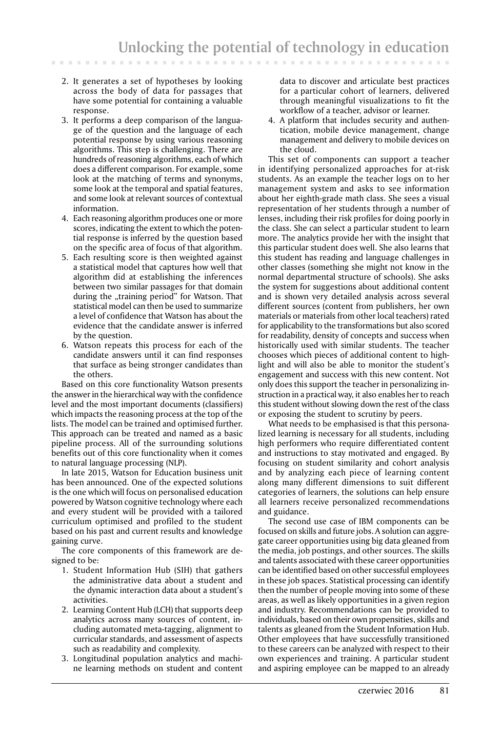2. It generates a set of hypotheses by looking across the body of data for passages that have some potential for containing a valuable response.

. . . . . . . . .

- 3. It performs a deep comparison of the language of the question and the language of each potential response by using various reasoning algorithms. This step is challenging. There are hundreds of reasoning algorithms, each of which does a different comparison. For example, some look at the matching of terms and synonyms, some look at the temporal and spatial features, and some look at relevant sources of contextual information.
- 4. Each reasoning algorithm produces one or more scores, indicating the extent to which the potential response is inferred by the question based on the specific area of focus of that algorithm.
- 5. Each resulting score is then weighted against a statistical model that captures how well that algorithm did at establishing the inferences between two similar passages for that domain during the "training period" for Watson. That statistical model can then be used to summarize a level of confidence that Watson has about the evidence that the candidate answer is inferred by the question.
- 6. Watson repeats this process for each of the candidate answers until it can find responses that surface as being stronger candidates than the others.

Based on this core functionality Watson presents the answer in the hierarchical way with the confidence level and the most important documents (classifiers) which impacts the reasoning process at the top of the lists. The model can be trained and optimised further. This approach can be treated and named as a basic pipeline process. All of the surrounding solutions benefits out of this core functionality when it comes to natural language processing (NLP).

In late 2015, Watson for Education business unit has been announced. One of the expected solutions is the one which will focus on personalised education powered by Watson cognitive technology where each and every student will be provided with a tailored curriculum optimised and profiled to the student based on his past and current results and knowledge gaining curve.

The core components of this framework are designed to be:

- 1. Student Information Hub (SIH) that gathers the administrative data about a student and the dynamic interaction data about a student's activities.
- 2. Learning Content Hub (LCH) that supports deep analytics across many sources of content, including automated meta-tagging, alignment to curricular standards, and assessment of aspects such as readability and complexity.
- 3. Longitudinal population analytics and machine learning methods on student and content

data to discover and articulate best practices for a particular cohort of learners, delivered through meaningful visualizations to fit the workflow of a teacher, advisor or learner.

4. A platform that includes security and authentication, mobile device management, change management and delivery to mobile devices on the cloud.

This set of components can support a teacher in identifying personalized approaches for at-risk students. As an example the teacher logs on to her management system and asks to see information about her eighth-grade math class. She sees a visual representation of her students through a number of lenses, including their risk profiles for doing poorly in the class. She can select a particular student to learn more. The analytics provide her with the insight that this particular student does well. She also learns that this student has reading and language challenges in other classes (something she might not know in the normal departmental structure of schools). She asks the system for suggestions about additional content and is shown very detailed analysis across several different sources (content from publishers, her own materials or materials from other local teachers) rated for applicability to the transformations but also scored for readability, density of concepts and success when historically used with similar students. The teacher chooses which pieces of additional content to highlight and will also be able to monitor the student's engagement and success with this new content. Not only does this support the teacher in personalizing instruction in a practical way, it also enables her to reach this student without slowing down the rest of the class or exposing the student to scrutiny by peers.

What needs to be emphasised is that this personalized learning is necessary for all students, including high performers who require differentiated content and instructions to stay motivated and engaged. By focusing on student similarity and cohort analysis and by analyzing each piece of learning content along many different dimensions to suit different categories of learners, the solutions can help ensure all learners receive personalized recommendations and guidance.

The second use case of IBM components can be focused on skills and future jobs. A solution can aggregate career opportunities using big data gleaned from the media, job postings, and other sources. The skills and talents associated with these career opportunities can be identified based on other successful employees in these job spaces. Statistical processing can identify then the number of people moving into some of these areas, as well as likely opportunities in a given region and industry. Recommendations can be provided to individuals, based on their own propensities, skills and talents as gleaned from the Student Information Hub. Other employees that have successfully transitioned to these careers can be analyzed with respect to their own experiences and training. A particular student and aspiring employee can be mapped to an already